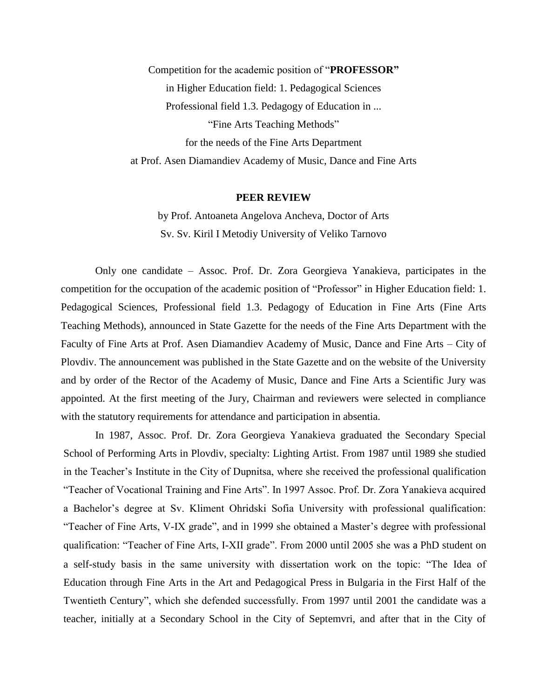Competition for the academic position of "**PROFESSOR"** in Higher Education field: 1. Pedagogical Sciences Professional field 1.3. Pedagogy of Education in ... "Fine Arts Teaching Methods" for the needs of the Fine Arts Department at Prof. Asen Diamandiev Academy of Music, Dance and Fine Arts

## **PEER REVIEW**

by Prof. Antoaneta Angelova Ancheva, Doctor of Arts Sv. Sv. Kiril I Metodiy University of Veliko Tarnovo

Only one candidate – Assoc. Prof. Dr. Zora Georgieva Yanakieva, participates in the competition for the occupation of the academic position of "Professor" in Higher Education field: 1. Pedagogical Sciences, Professional field 1.3. Pedagogy of Education in Fine Arts (Fine Arts Teaching Methods), announced in State Gazette for the needs of the Fine Arts Department with the Faculty of Fine Arts at Prof. Asen Diamandiev Academy of Music, Dance and Fine Arts – City of Plovdiv. The announcement was published in the State Gazette and on the website of the University and by order of the Rector of the Academy of Music, Dance and Fine Arts a Scientific Jury was appointed. At the first meeting of the Jury, Chairman and reviewers were selected in compliance with the statutory requirements for attendance and participation in absentia.

In 1987, Assoc. Prof. Dr. Zora Georgieva Yanakieva graduated the Secondary Special School of Performing Arts in Plovdiv, specialty: Lighting Artist. From 1987 until 1989 she studied in the Teacher's Institute in the City of Dupnitsa, where she received the professional qualification "Teacher of Vocational Training and Fine Arts". In 1997 Assoc. Prof. Dr. Zora Yanakieva acquired a Bachelor's degree at Sv. Kliment Ohridski Sofia University with professional qualification: "Teacher of Fine Arts, V-IX grade", and in 1999 she obtained a Master's degree with professional qualification: "Teacher of Fine Arts, I-XII grade". From 2000 until 2005 she was a PhD student on a self-study basis in the same university with dissertation work on the topic: "The Idea of Education through Fine Arts in the Art and Pedagogical Press in Bulgaria in the First Half of the Twentieth Century", which she defended successfully. From 1997 until 2001 the candidate was a teacher, initially at a Secondary School in the City of Septemvri, and after that in the City of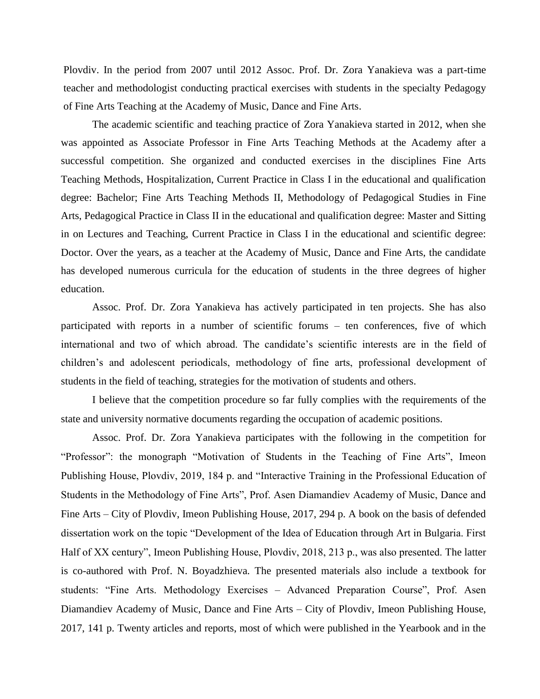Plovdiv. In the period from 2007 until 2012 Assoc. Prof. Dr. Zora Yanakieva was a part-time teacher and methodologist conducting practical exercises with students in the specialty Pedagogy of Fine Arts Teaching at the Academy of Music, Dance and Fine Arts.

The academic scientific and teaching practice of Zora Yanakieva started in 2012, when she was appointed as Associate Professor in Fine Arts Teaching Methods at the Academy after a successful competition. She organized and conducted exercises in the disciplines Fine Arts Teaching Methods, Hospitalization, Current Practice in Class I in the educational and qualification degree: Bachelor; Fine Arts Teaching Methods II, Methodology of Pedagogical Studies in Fine Arts, Pedagogical Practice in Class II in the educational and qualification degree: Master and Sitting in on Lectures and Teaching, Current Practice in Class I in the educational and scientific degree: Doctor. Over the years, as a teacher at the Academy of Music, Dance and Fine Arts, the candidate has developed numerous curricula for the education of students in the three degrees of higher education.

Assoc. Prof. Dr. Zora Yanakieva has actively participated in ten projects. She has also participated with reports in a number of scientific forums – ten conferences, five of which international and two of which abroad. The candidate's scientific interests are in the field of children's and adolescent periodicals, methodology of fine arts, professional development of students in the field of teaching, strategies for the motivation of students and others.

I believe that the competition procedure so far fully complies with the requirements of the state and university normative documents regarding the occupation of academic positions.

Assoc. Prof. Dr. Zora Yanakieva participates with the following in the competition for "Professor": the monograph "Motivation of Students in the Teaching of Fine Arts", Imeon Publishing House, Plovdiv, 2019, 184 p. and "Interactive Training in the Professional Education of Students in the Methodology of Fine Arts", Prof. Asen Diamandiev Academy of Music, Dance and Fine Arts – City of Plovdiv, Imeon Publishing House, 2017, 294 p. A book on the basis of defended dissertation work on the topic "Development of the Idea of Education through Art in Bulgaria. First Half of XX century", Imeon Publishing House, Plovdiv, 2018, 213 p., was also presented. The latter is co-authored with Prof. N. Boyadzhieva. The presented materials also include a textbook for students: "Fine Arts. Methodology Exercises – Advanced Preparation Course", Prof. Asen Diamandiev Academy of Music, Dance and Fine Arts – City of Plovdiv, Imeon Publishing House, 2017, 141 p. Twenty articles and reports, most of which were published in the Yearbook and in the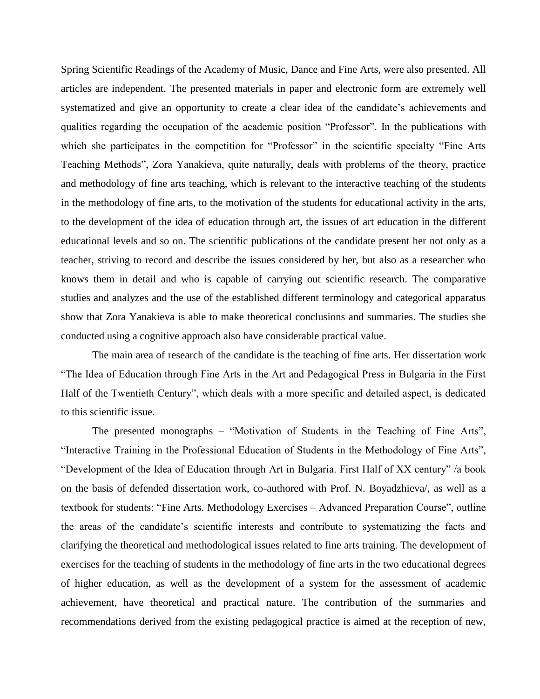Spring Scientific Readings of the Academy of Music, Dance and Fine Arts, were also presented. All articles are independent. The presented materials in paper and electronic form are extremely well systematized and give an opportunity to create a clear idea of the candidate's achievements and qualities regarding the occupation of the academic position "Professor". In the publications with which she participates in the competition for "Professor" in the scientific specialty "Fine Arts" Teaching Methods", Zora Yanakieva, quite naturally, deals with problems of the theory, practice and methodology of fine arts teaching, which is relevant to the interactive teaching of the students in the methodology of fine arts, to the motivation of the students for educational activity in the arts, to the development of the idea of education through art, the issues of art education in the different educational levels and so on. The scientific publications of the candidate present her not only as a teacher, striving to record and describe the issues considered by her, but also as a researcher who knows them in detail and who is capable of carrying out scientific research. The comparative studies and analyzes and the use of the established different terminology and categorical apparatus show that Zora Yanakieva is able to make theoretical conclusions and summaries. The studies she conducted using a cognitive approach also have considerable practical value.

The main area of research of the candidate is the teaching of fine arts. Her dissertation work "The Idea of Education through Fine Arts in the Art and Pedagogical Press in Bulgaria in the First Half of the Twentieth Century", which deals with a more specific and detailed aspect, is dedicated to this scientific issue.

The presented monographs – "Motivation of Students in the Teaching of Fine Arts", "Interactive Training in the Professional Education of Students in the Methodology of Fine Arts", "Development of the Idea of Education through Art in Bulgaria. First Half of XX century" /a book on the basis of defended dissertation work, co-authored with Prof. N. Boyadzhieva/, as well as a textbook for students: "Fine Arts. Methodology Exercises – Advanced Preparation Course", outline the areas of the candidate's scientific interests and contribute to systematizing the facts and clarifying the theoretical and methodological issues related to fine arts training. The development of exercises for the teaching of students in the methodology of fine arts in the two educational degrees of higher education, as well as the development of a system for the assessment of academic achievement, have theoretical and practical nature. The contribution of the summaries and recommendations derived from the existing pedagogical practice is aimed at the reception of new,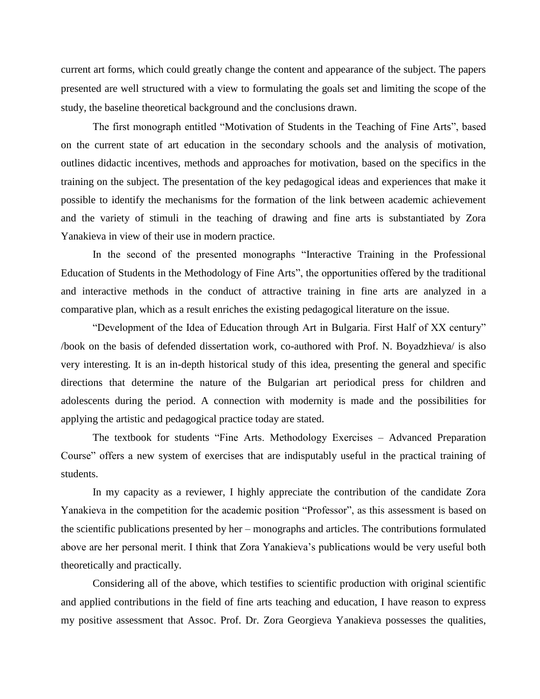current art forms, which could greatly change the content and appearance of the subject. The papers presented are well structured with a view to formulating the goals set and limiting the scope of the study, the baseline theoretical background and the conclusions drawn.

The first monograph entitled "Motivation of Students in the Teaching of Fine Arts", based on the current state of art education in the secondary schools and the analysis of motivation, outlines didactic incentives, methods and approaches for motivation, based on the specifics in the training on the subject. The presentation of the key pedagogical ideas and experiences that make it possible to identify the mechanisms for the formation of the link between academic achievement and the variety of stimuli in the teaching of drawing and fine arts is substantiated by Zora Yanakieva in view of their use in modern practice.

In the second of the presented monographs "Interactive Training in the Professional Education of Students in the Methodology of Fine Arts", the opportunities offered by the traditional and interactive methods in the conduct of attractive training in fine arts are analyzed in a comparative plan, which as a result enriches the existing pedagogical literature on the issue.

"Development of the Idea of Education through Art in Bulgaria. First Half of XX century" /book on the basis of defended dissertation work, co-authored with Prof. N. Boyadzhieva/ is also very interesting. It is an in-depth historical study of this idea, presenting the general and specific directions that determine the nature of the Bulgarian art periodical press for children and adolescents during the period. A connection with modernity is made and the possibilities for applying the artistic and pedagogical practice today are stated.

The textbook for students "Fine Arts. Methodology Exercises – Advanced Preparation Course" offers a new system of exercises that are indisputably useful in the practical training of students.

In my capacity as a reviewer, I highly appreciate the contribution of the candidate Zora Yanakieva in the competition for the academic position "Professor", as this assessment is based on the scientific publications presented by her – monographs and articles. The contributions formulated above are her personal merit. I think that Zora Yanakieva's publications would be very useful both theoretically and practically.

Considering all of the above, which testifies to scientific production with original scientific and applied contributions in the field of fine arts teaching and education, I have reason to express my positive assessment that Assoc. Prof. Dr. Zora Georgieva Yanakieva possesses the qualities,